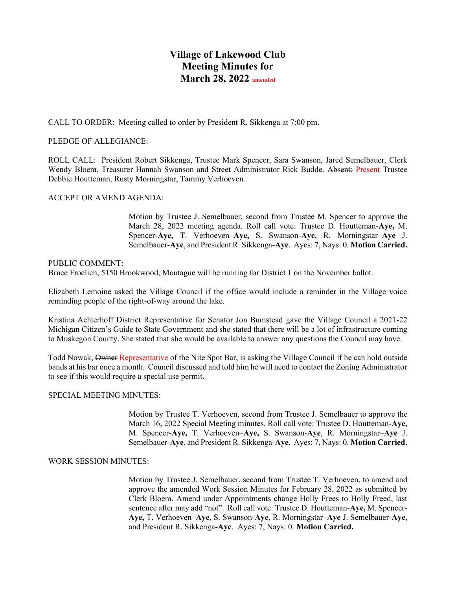# **Village of Lakewood Club Meeting Minutes for March 28, 2022 amended**

CALL TO ORDER: Meeting called to order by President R. Sikkenga at 7:00 pm.

# PLEDGE OF ALLEGIANCE:

ROLL CALL: President Robert Sikkenga, Trustee Mark Spencer, Sara Swanson, Jared Semelbauer, Clerk Wendy Bloem, Treasurer Hannah Swanson and Street Administrator Rick Budde. Absent: Present Trustee Debbie Houtteman, Rusty Morningstar, Tammy Verhoeven.

# ACCEPT OR AMEND AGENDA:

Motion by Trustee J. Semelbauer, second from Trustee M. Spencer to approve the March 28, 2022 meeting agenda. Roll call vote: Trustee D. Houtteman-**Aye,** M. Spencer-**Aye,** T. Verhoeven–**Aye,** S. Swanson-**Aye**, R. Morningstar–**Aye** J. Semelbauer-**Aye**, and President R. Sikkenga-**Aye**. Ayes: 7, Nays: 0. **Motion Carried.**

### PUBLIC COMMENT:

Bruce Froelich, 5150 Brookwood, Montague will be running for District 1 on the November ballot.

Elizabeth Lemoine asked the Village Council if the office would include a reminder in the Village voice reminding people of the right-of-way around the lake.

Kristina Achterhoff District Representative for Senator Jon Bumstead gave the Village Council a 2021-22 Michigan Citizen's Guide to State Government and she stated that there will be a lot of infrastructure coming to Muskegon County. She stated that she would be available to answer any questions the Council may have.

Todd Nowak, Owner Representative of the Nite Spot Bar, is asking the Village Council if he can hold outside bands at his bar once a month. Council discussed and told him he will need to contact the Zoning Administrator to see if this would require a special use permit.

### SPECIAL MEETING MINUTES:

Motion by Trustee T. Verhoeven, second from Trustee J. Semelbauer to approve the March 16, 2022 Special Meeting minutes. Roll call vote: Trustee D. Houtteman-**Aye,**  M. Spencer-**Aye,** T. Verhoeven–**Aye,** S. Swanson-**Aye**, R. Morningstar–**Aye** J. Semelbauer-**Aye**, and President R. Sikkenga-**Aye**. Ayes: 7, Nays: 0. **Motion Carried.**

### WORK SESSION MINUTES:

Motion by Trustee J. Semelbauer, second from Trustee T. Verhoeven, to amend and approve the amended Work Session Minutes for February 28, 2022 as submitted by Clerk Bloem. Amend under Appointments change Holly Frees to Holly Freed, last sentence after may add "not". Roll call vote: Trustee D. Houtteman-**Aye,** M. Spencer-**Aye,** T. Verhoeven–**Aye,** S. Swanson-**Aye**, R. Morningstar–**Aye** J. Semelbauer-**Aye**, and President R. Sikkenga-**Aye**. Ayes: 7, Nays: 0. **Motion Carried.**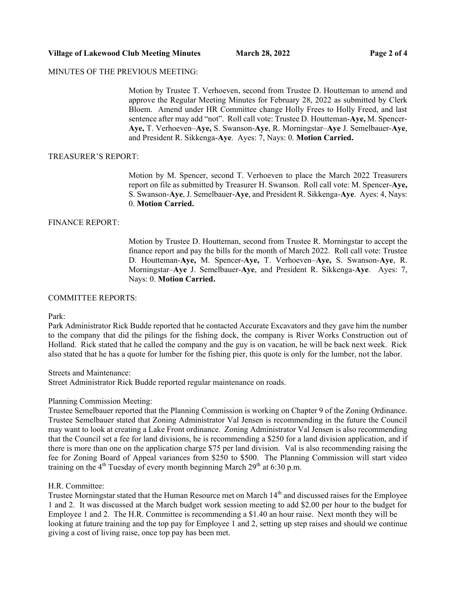# **Village of Lakewood Club Meeting Minutes March 28, 2022 Page 2 of 4**

# MINUTES OF THE PREVIOUS MEETING:

Motion by Trustee T. Verhoeven, second from Trustee D. Houtteman to amend and approve the Regular Meeting Minutes for February 28, 2022 as submitted by Clerk Bloem. Amend under HR Committee change Holly Frees to Holly Freed, and last sentence after may add "not". Roll call vote: Trustee D. Houtteman-**Aye,** M. Spencer-**Aye,** T. Verhoeven–**Aye,** S. Swanson-**Aye**, R. Morningstar–**Aye** J. Semelbauer-**Aye**, and President R. Sikkenga-**Aye**. Ayes: 7, Nays: 0. **Motion Carried.**

### TREASURER'S REPORT:

Motion by M. Spencer, second T. Verhoeven to place the March 2022 Treasurers report on file as submitted by Treasurer H. Swanson. Roll call vote: M. Spencer-**Aye,**  S. Swanson-**Aye**, J. Semelbauer-**Aye**, and President R. Sikkenga-**Aye**. Ayes: 4, Nays: 0. **Motion Carried.**

# FINANCE REPORT:

Motion by Trustee D. Houtteman, second from Trustee R. Morningstar to accept the finance report and pay the bills for the month of March 2022. Roll call vote: Trustee D. Houtteman-**Aye,** M. Spencer-**Aye,** T. Verhoeven–**Aye,** S. Swanson-**Aye**, R. Morningstar–**Aye** J. Semelbauer-**Aye**, and President R. Sikkenga-**Aye**. Ayes: 7, Nays: 0. **Motion Carried.**

### COMMITTEE REPORTS:

Park:

Park Administrator Rick Budde reported that he contacted Accurate Excavators and they gave him the number to the company that did the pilings for the fishing dock, the company is River Works Construction out of Holland. Rick stated that he called the company and the guy is on vacation, he will be back next week. Rick also stated that he has a quote for lumber for the fishing pier, this quote is only for the lumber, not the labor.

Streets and Maintenance:

Street Administrator Rick Budde reported regular maintenance on roads.

### Planning Commission Meeting:

Trustee Semelbauer reported that the Planning Commission is working on Chapter 9 of the Zoning Ordinance. Trustee Semelbauer stated that Zoning Administrator Val Jensen is recommending in the future the Council may want to look at creating a Lake Front ordinance. Zoning Administrator Val Jensen is also recommending that the Council set a fee for land divisions, he is recommending a \$250 for a land division application, and if there is more than one on the application charge \$75 per land division. Val is also recommending raising the fee for Zoning Board of Appeal variances from \$250 to \$500. The Planning Commission will start video training on the  $4<sup>th</sup>$  Tuesday of every month beginning March  $29<sup>th</sup>$  at 6:30 p.m.

### H.R. Committee:

Trustee Morningstar stated that the Human Resource met on March 14<sup>th</sup> and discussed raises for the Employee 1 and 2. It was discussed at the March budget work session meeting to add \$2.00 per hour to the budget for Employee 1 and 2. The H.R. Committee is recommending a \$1.40 an hour raise. Next month they will be looking at future training and the top pay for Employee 1 and 2, setting up step raises and should we continue giving a cost of living raise, once top pay has been met.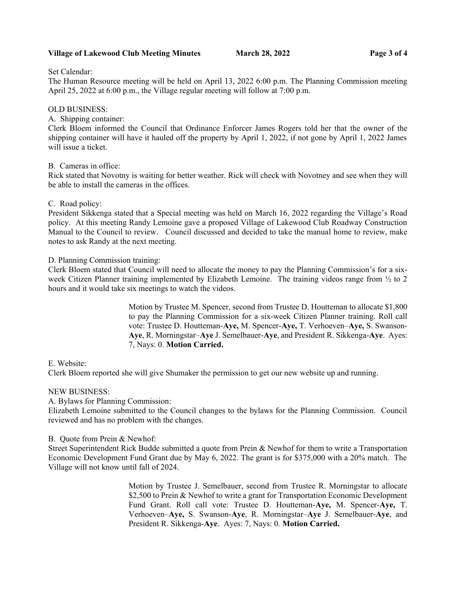# **Village of Lakewood Club Meeting Minutes March 28, 2022 Page 3 of 4**

Set Calendar:

The Human Resource meeting will be held on April 13, 2022 6:00 p.m. The Planning Commission meeting April 25, 2022 at 6:00 p.m., the Village regular meeting will follow at 7:00 p.m.

# OLD BUSINESS:

# A. Shipping container:

Clerk Bloem informed the Council that Ordinance Enforcer James Rogers told her that the owner of the shipping container will have it hauled off the property by April 1, 2022, if not gone by April 1, 2022 James will issue a ticket.

# B. Cameras in office:

Rick stated that Novotny is waiting for better weather. Rick will check with Novotney and see when they will be able to install the cameras in the offices.

# C. Road policy:

President Sikkenga stated that a Special meeting was held on March 16, 2022 regarding the Village's Road policy. At this meeting Randy Lemoine gave a proposed Village of Lakewood Club Roadway Construction Manual to the Council to review. Council discussed and decided to take the manual home to review, make notes to ask Randy at the next meeting.

# D. Planning Commission training:

Clerk Bloem stated that Council will need to allocate the money to pay the Planning Commission's for a sixweek Citizen Planner training implemented by Elizabeth Lemoine. The training videos range from  $\frac{1}{2}$  to 2 hours and it would take six meetings to watch the videos.

> Motion by Trustee M. Spencer, second from Trustee D. Houtteman to allocate \$1,800 to pay the Planning Commission for a six-week Citizen Planner training. Roll call vote: Trustee D. Houtteman-**Aye,** M. Spencer-**Aye,** T. Verhoeven–**Aye,** S. Swanson-**Aye**, R. Morningstar–**Aye** J. Semelbauer-**Aye**, and President R. Sikkenga-**Aye**. Ayes: 7, Nays: 0. **Motion Carried.**

# E. Website:

Clerk Bloem reported she will give Shumaker the permission to get our new website up and running.

### NEW BUSINESS:

A. Bylaws for Planning Commission:

Elizabeth Lemoine submitted to the Council changes to the bylaws for the Planning Commission. Council reviewed and has no problem with the changes.

### B. Quote from Prein & Newhof:

Street Superintendent Rick Budde submitted a quote from Prein & Newhof for them to write a Transportation Economic Development Fund Grant due by May 6, 2022. The grant is for \$375,000 with a 20% match. The Village will not know until fall of 2024.

> Motion by Trustee J. Semelbauer, second from Trustee R. Morningstar to allocate \$2,500 to Prein & Newhof to write a grant for Transportation Economic Development Fund Grant. Roll call vote: Trustee D. Houtteman-**Aye,** M. Spencer-**Aye,** T. Verhoeven–**Aye,** S. Swanson-**Aye**, R. Morningstar–**Aye** J. Semelbauer-**Aye**, and President R. Sikkenga-**Aye**. Ayes: 7, Nays: 0. **Motion Carried.**